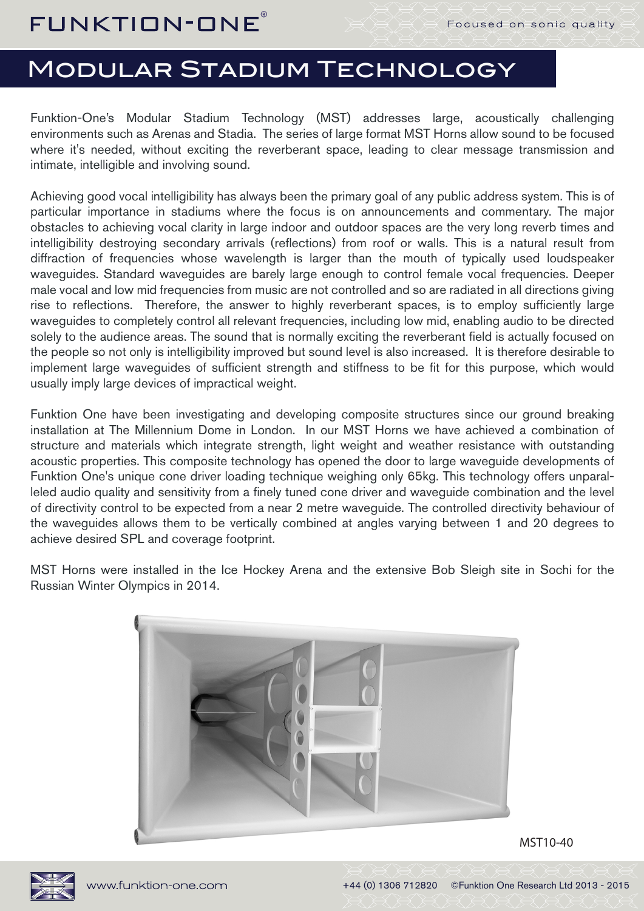## Modular Stadium Technology

Funktion-One's Modular Stadium Technology (MST) addresses large, acoustically challenging environments such as Arenas and Stadia. The series of large format MST Horns allow sound to be focused where it's needed, without exciting the reverberant space, leading to clear message transmission and intimate, intelligible and involving sound.

Achieving good vocal intelligibility has always been the primary goal of any public address system. This is of particular importance in stadiums where the focus is on announcements and commentary. The major obstacles to achieving vocal clarity in large indoor and outdoor spaces are the very long reverb times and intelligibility destroying secondary arrivals (reflections) from roof or walls. This is a natural result from diffraction of frequencies whose wavelength is larger than the mouth of typically used loudspeaker waveguides. Standard waveguides are barely large enough to control female vocal frequencies. Deeper male vocal and low mid frequencies from music are not controlled and so are radiated in all directions giving rise to reflections. Therefore, the answer to highly reverberant spaces, is to employ sufficiently large waveguides to completely control all relevant frequencies, including low mid, enabling audio to be directed solely to the audience areas. The sound that is normally exciting the reverberant field is actually focused on the people so not only is intelligibility improved but sound level is also increased. It is therefore desirable to implement large waveguides of sufficient strength and stiffness to be fit for this purpose, which would usually imply large devices of impractical weight.

Funktion One have been investigating and developing composite structures since our ground breaking installation at The Millennium Dome in London. In our MST Horns we have achieved a combination of structure and materials which integrate strength, light weight and weather resistance with outstanding acoustic properties. This composite technology has opened the door to large waveguide developments of Funktion One's unique cone driver loading technique weighing only 65kg. This technology offers unparalleled audio quality and sensitivity from a finely tuned cone driver and waveguide combination and the level of directivity control to be expected from a near 2 metre waveguide. The controlled directivity behaviour of the waveguides allows them to be vertically combined at angles varying between 1 and 20 degrees to achieve desired SPL and coverage footprint.

MST Horns were installed in the Ice Hockey Arena and the extensive Bob Sleigh site in Sochi for the Russian Winter Olympics in 2014.